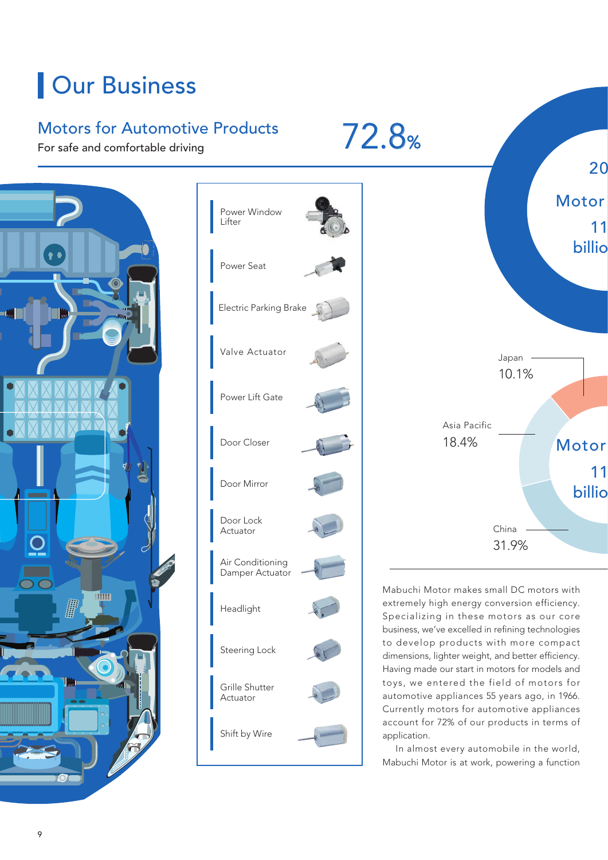## **Our Business**

## Motors for Automotive Products

For safe and comfortable driving







Mabuchi Motor makes small DC motors with extremely high energy conversion efficiency. Specializing in these motors as our core business, we've excelled in refining technologies to develop products with more compact dimensions, lighter weight, and better efficiency. Having made our start in motors for models and toys, we entered the field of motors for automotive appliances 55 years ago, in 1966. Currently motors for automotive appliances account for 72% of our products in terms of application.

 In almost every automobile in the world, Mabuchi Motor is at work, powering a function